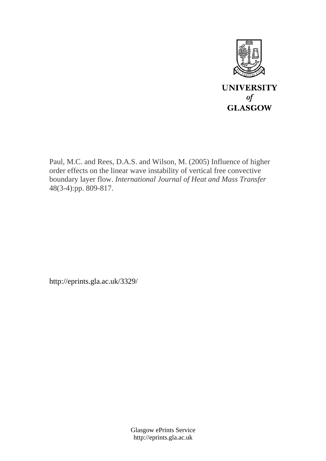

Paul, M.C. and Rees, D.A.S. and Wilson, M. (2005) Influence of higher order effects on the linear wave instability of vertical free convective boundary layer flow. *International Journal of Heat and Mass Transfer* 48(3-4):pp. 809-817.

http://eprints.gla.ac.uk/3329/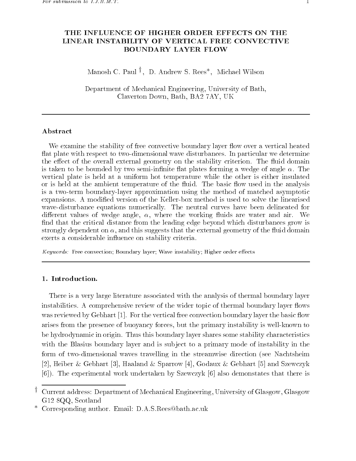# THE INFLUENCE OF HIGHER ORDER EFFECTS ON THE LINEAR INSTABILITY OF VERTICAL FREE CONVECTIVE BOUNDARY LAYER FLOW

Manosh C- Paul <sup>y</sup> D- Andrew S- Rees Michael Wilson

Department of Mechanical Engineering, University of Bath, Claverton Down, Bath, BA2 7AY, UK

# Abstract

We examine the stability of free convective boundary layer flow over a vertical heated at plate with respect to twodimensional wave disturbances- In particular we determine the external contracts external geometry on the stability criterion-contracts criterionis the bounded by the bounded by two semi-forming plates for an angle  $\alpha$  we define  $\alpha$  and  $\alpha$ vertical plate is held at a uniform hot temperature while the other is either insulated or is described at the ambient temperature of the used in the used in the use of the unit of the analysis is a twoterm boundarylayer approximation using the method of matched asymptotic expansions- at modification - A modification of the Mathematic method is used to solve the method is used the wavedisturbance equations numerically-been delineated for numerically-been delineated for numerical dierent values of wedge angle where the working uids are water and air- We find that the critical distance from the leading edge beyond which disturbances grow is strongly dependent on  $\alpha$ , and this suggests that the external geometry of the fluid domain exerts a considerable influence on stability criteria.

 $keyworus.$  Free convection, Doundary layer, wave instability, Higher order effects

There is a very large literature associated with the analysis of thermal boundary layer instabilities- A comprehensive review of the wider topic of thermal boundary layer ows was reviewed by Gebhart the vertical free convection boundary layer the basic own convection boundary layer the basic own convection boundary layer than  $\mathbb{R}^n$ arises from the presence of buoyancy forces, but the primary instability is well-known to be hydrodynamic in origin- Thus this boundary layer shares some stability characteristics with the Blasius boundary layer and is subject to a primary mode of instability in the form of two-dimensional waves travelling in the streamwise direction (see Nachtsheim , and see the sparrow of the secondaries in partners of the statement is the second of the state of the first - The experimental work undertaken by Szewczyk also demonstates that there is

y Current address: Department of Mechanical Engineering, University of Glasgow, Glasgow  $G12$  8QQ. Scotland

Corresponding author. Email: D.A.S.Rees@bath.ac.uk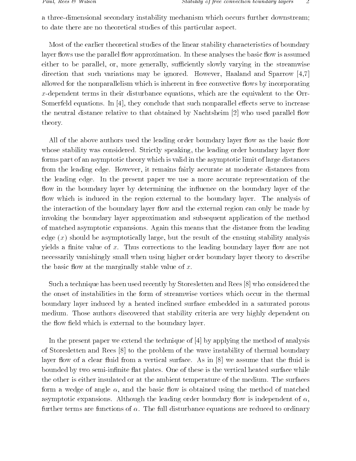a three-dimensional secondary instability mechanism which occurs further downstream; to date there are no theoretical studies of this particular aspect-

Most of the earlier theoretical studies of the linear stability characteristics of boundary layer ows use the parallel ow approximation- In these analyses the basic ow is assumed either to be parallel, or, more generally, sufficiently slowly varying in the streamwise direction that such variations may be ignored and sparrows may be increased and  $\mathcal{L}$ allowed for the nonparallelism which is inherent in free convective flows by incorporating x-dependent terms in their disturbance equations, which are the equivalent to the Orr-Somerfeld equations- In they conclude that such nonparallel eects serve to increase the neutral distance relative to the Theory and Nachtsheim ( ) is not denoted by Nachtsheim ( ) and the second theory-

All of the above authors used the leading order boundary layer flow as the basic flow whose stability was considered that the leading order boundary layer order boundary layer order boundary layer forms part of an asymptotic theory which is valid in the asymptotic limit of large distances from the leading edge- However it remains fairly accurate at moderate distances from the leading edge- In the present paper we use a more accurate representation of the flow in the boundary layer by determining the influence on the boundary layer of the ow which is induced in the region external to the boundary layer- The analysis of the interaction of the boundary layer flow and the external region can only be made by invoking the boundary layer approximation and subsequent application of the method of matched asymptotic expansions- Again this means that the distance from the leading edge  $(x)$  should be asymptotically large, but the result of the ensuing stability analysis  $\mathcal{W}$  a  $\mathcal{W}$  -rections to the leading boundary layer of  $\mathcal{W}$ necessarily vanishingly small when using higher order boundary layer theory to describe the basic flow at the marginally stable value of  $x$ .

Such a technique has been used recently by Storesletten and Rees who considered the the onset of instabilities in the form of streamwise vortices which occur in the thermal boundary layer induced by a heated inclined surface embedded in a saturated porous medium- Those authors discovered that stability criteria are very highly dependent on the flow field which is external to the boundary layer.

In the present paper we extend the technique of by applying the method of analysis of Storesletten and Rees to the problem of the wave instability of thermal boundary layer ow of a clear uid from a vertical surface- As in we assume that the uid is by two semiinnites-definite at plates-surface is the vertical heated surface while  $\alpha$ the other is either insulated or at the ambient temperature of the medium- The surfaces form a wedge of angle  $\alpha$ , and the basic flow is obtained using the method of matched asymptotic expansions- Although the leading order boundary ow is independent of further terms are functions of - The full disturbance equations are reduced to ordinary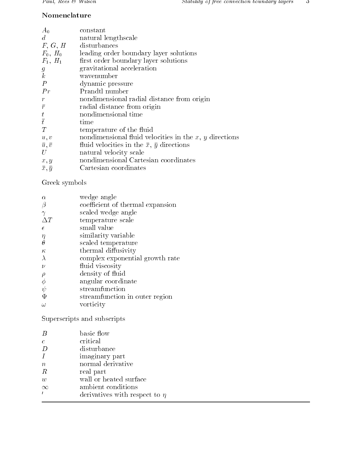# Nomenclature

| $A_0$               | constant                                                 |
|---------------------|----------------------------------------------------------|
| $d_{\mathcal{A}}$   | natural lengthscale                                      |
| F, G, H             | disturbances                                             |
| $F_0$ , $H_0$       | leading order boundary layer solutions                   |
| $F_1, H_1$          | first order boundary layer solutions                     |
| g                   | gravitational acceleration                               |
| $\boldsymbol{k}$    | wavenumber                                               |
| $\boldsymbol{P}$    | dynamic pressure                                         |
| Pr                  | Prandtl number                                           |
| $\boldsymbol{r}$    | nondimensional radial distance from origin               |
| $\bar{r}$           | radial distance from origin                              |
|                     | nondimensional time                                      |
| $\frac{t}{\bar{t}}$ | time                                                     |
| T                   | temperature of the fluid                                 |
| u, v                | nondimensional fluid velocities in the $x, y$ directions |
| $\bar{u}, \bar{v}$  | fluid velocities in the $\bar{x}$ , $\bar{y}$ directions |
| U                   | natural velocity scale                                   |
| x, y                | nondimensional Cartesian coordinates                     |
| $\bar{x}, \bar{y}$  | Cartesian coordinates                                    |

Greek symbols

| $\alpha$   | wedge angle                      |
|------------|----------------------------------|
| $\beta$    | coefficient of thermal expansion |
| $\gamma$   | scaled wedge angle               |
| $\Delta T$ | temperature scale                |
| $\epsilon$ | small value                      |
| η          | similarity variable              |
| $\theta$   | scaled temperature               |
| $\kappa$   | thermal diffusivity              |
| $\lambda$  | complex exponential growth rate  |
| $\nu$      | fluid viscosity                  |
| $\rho$     | density of fluid                 |
| $\phi$     | angular coordinate               |
| $\psi$     | streamfunction                   |
| Ψ          | streamfunction in outer region   |
| $\omega$   | vorticity                        |
|            |                                  |

Superscripts and subscripts

|                  | basic flow                         |
|------------------|------------------------------------|
| $\epsilon$       | critical                           |
| D                | disturbance                        |
|                  | imaginary part                     |
| $\boldsymbol{n}$ | normal derivative                  |
| R                | real part                          |
| $\overline{w}$   | wall or heated surface             |
| $\propto$        | ambient conditions                 |
|                  | derivatives with respect to $\eta$ |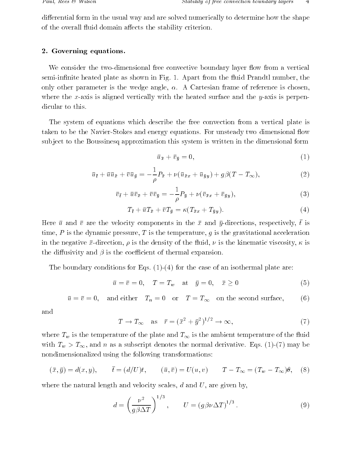differential form in the usual way and are solved numerically to determine how the shape of the overall fluid domain affects the stability criterion.

# - Government equations-between the contract of the contract of the contract of the contract of the contract of

We consider the two-dimensional free convective boundary layer flow from a vertical semiin is shown in Fig. 2011 in Fig. 2012 in Fig. 2013 in Fig. 2014 in Fig. 2013 in Fig. 2014 in Fig. 2014 in F only others parameters is the wedge angles in the chosen frame of reference is chosen frame of reference where the x-axis is aligned vertically with the heated surface and the  $y$ -axis is perpendicular to this.

The system of equations which describe the free convection from a vertical plate is taken to be the Navigan Stokes and energy equations- I be and that we are constructed in the sub ject to the Boussinesq approximation this system is written in the dimensional form

$$
\bar{u}_{\bar{x}} + \bar{v}_{\bar{y}} = 0,\tag{1}
$$

$$
\bar{u}_{\bar{t}} + \bar{u}\bar{u}_{\bar{x}} + \bar{v}\bar{u}_{\bar{y}} = -\frac{1}{\rho}P_{\bar{x}} + \nu(\bar{u}_{\bar{x}x} + \bar{u}_{\bar{y}y}) + g\beta(T - T_{\infty}),\tag{2}
$$

$$
\bar{v}_{\bar{t}} + \bar{u}\bar{v}_{\bar{x}} + \bar{v}\bar{v}_{\bar{y}} = -\frac{1}{\rho}P_{\bar{y}} + \nu(\bar{v}_{\bar{x}x} + \bar{v}_{\bar{y}y}),\tag{3}
$$

$$
T_{\bar{t}} + \bar{u}T_{\bar{x}} + \bar{v}T_{\bar{y}} = \kappa (T_{\bar{x}x} + T_{\bar{y}y}). \tag{4}
$$

Here  $\bar{u}$  and  $\bar{v}$  are the velocity components in the  $\bar{x}$  and  $\bar{y}$ -directions, respectively, t is time,  $P$  is the dynamic pressure,  $T$  is the temperature,  $g$  is the gravitational acceleration in the negative  $\mathcal{U}$  is the density of the uid the uid the uid the uid the uid the uid the kinematic viscosity of the uid the uid the uid the uid the uid the uid the uid the uid the uid the uid the uid the uid the uid the diffusivity and  $\beta$  is the coefficient of thermal expansion.

The boundary conditions for  $\mathbb{R}^n$  and  $\mathbb{R}^n$  and  $\mathbb{R}^n$  are case of an isothermal plate are case of an isothermal plate are case of an isothermal plate are case of an isothermal plate are case of an isotherma

$$
\bar{u} = \bar{v} = 0, \quad T = T_w \quad \text{at} \quad \bar{y} = 0, \quad \bar{x} \ge 0 \tag{5}
$$

$$
\bar{u} = \bar{v} = 0
$$
, and either  $T_n = 0$  or  $T = T_{\infty}$  on the second surface, (6)

and

$$
T \to T_{\infty} \quad \text{as} \quad \bar{r} = (\bar{x}^2 + \bar{y}^2)^{1/2} \to \infty,\tag{7}
$$

where  $\frac{1}{1}$  is the ambient temperature of the uideling temperature of the uideling temperature of the uideling temperature of the uideling temperature of the uideling temperature of the uideling temperature of the uid with Tw  $\alpha$  , the matrix of the normal density denotes the normal denotes the normal derivative  $\alpha$  , and  $\alpha$ nondimensionalized using the following transformations

$$
(\bar{x}, \bar{y}) = d(x, y), \qquad \bar{t} = (d/U)t, \qquad (\bar{u}, \bar{v}) = U(u, v) \qquad T - T_{\infty} = (T_w - T_{\infty})\theta, \quad (8)
$$

where the natural length and velocity scales,  $d$  and  $U$ , are given by,

$$
d = \left(\frac{\nu^2}{g\beta\Delta T}\right)^{1/3}, \qquad U = \left(g\beta\nu\Delta T\right)^{1/3}.
$$
 (9)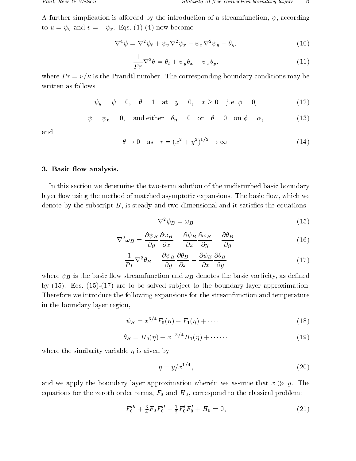A further simplication is afforded by the introduction of a streamfunction,  $\psi$ , according  $\mathcal{F}$  and  $\mathcal{F}$  and  $\mathcal{F}$  are the contract of  $\mathcal{F}$  and  $\mathcal{F}$  are the contract of  $\mathcal{F}$  and  $\mathcal{F}$ 

$$
\nabla^4 \psi = \nabla^2 \psi_t + \psi_y \nabla^2 \psi_x - \psi_x \nabla^2 \psi_y - \theta_y,\tag{10}
$$

$$
\frac{1}{Pr}\nabla^2\theta = \theta_t + \psi_y \theta_x - \psi_x \theta_y,\tag{11}
$$

where P r  $\sim$  . The corresponding boundary corresponding boundary conditions may be a written as follows

$$
\psi_y = \psi = 0, \quad \theta = 1 \quad \text{at} \quad y = 0, \quad x \ge 0 \quad [\text{i.e. } \phi = 0]
$$
\n(12)

$$
\psi = \psi_n = 0, \text{ and either } \theta_n = 0 \text{ or } \theta = 0 \text{ on } \phi = \alpha,
$$
 (13)

and

$$
\theta \to 0 \quad \text{as} \quad r = (x^2 + y^2)^{1/2} \to \infty. \tag{14}
$$

### $B = \frac{1}{2}$  and  $B = \frac{1}{2}$  and  $B = \frac{1}{2}$  and  $B = \frac{1}{2}$  and  $B = \frac{1}{2}$  and  $B = \frac{1}{2}$  and  $B = \frac{1}{2}$  and  $B = \frac{1}{2}$  and  $B = \frac{1}{2}$  and  $B = \frac{1}{2}$  and  $B = \frac{1}{2}$  and  $B = \frac{1}{2}$  and  $B = \frac{1}{2}$  and  $B = \frac{1}{2}$  a

In this section we determine the twoterm solution of the undisturbed basic boundary layer ow using the method of matched asymptotic expansions- The basic ow which we denote by the subscript  $B$ , is steady and two-dimensional and it satisfies the equations

$$
\nabla^2 \psi_B = \omega_B \tag{15}
$$

$$
\nabla^2 \omega_B = \frac{\partial \psi_B}{\partial y} \frac{\partial \omega_B}{\partial x} - \frac{\partial \psi_B}{\partial x} \frac{\partial \omega_B}{\partial y} - \frac{\partial \theta_B}{\partial y} \tag{16}
$$

$$
\frac{1}{Pr}\nabla^2\theta_B = \frac{\partial\psi_B}{\partial y}\frac{\partial\theta_B}{\partial x} - \frac{\partial\psi_B}{\partial x}\frac{\partial\theta_B}{\partial y}
$$
(17)

where  $\psi_B$  is the basic flow streamfunction and  $\omega_B$  denotes the basic vorticity, as defined  $\alpha$  , are to be solved subdivisions of the boundary layer approximation  $\alpha$  , and the boundary layer approximation Therefore we introduce the following expansions for the streamfunction and temperature in the boundary layer region

$$
\psi_B = x^{3/4} F_0(\eta) + F_1(\eta) + \cdots \tag{18}
$$

$$
\theta_B = H_0(\eta) + x^{-3/4} H_1(\eta) + \cdots \tag{19}
$$

where the similarity variable  $\eta$  is given by

$$
\eta = y/x^{1/4},\tag{20}
$$

and we apply the boundary layer approximation we we assume that  $\alpha$  y-yequations for the zeroth order terms,  $F_0$  and  $H_0$ , correspond to the classical problem:

$$
F_0''' + \frac{3}{4} F_0 F_0'' - \frac{1}{2} F_0' F_0' + H_0 = 0, \qquad (21)
$$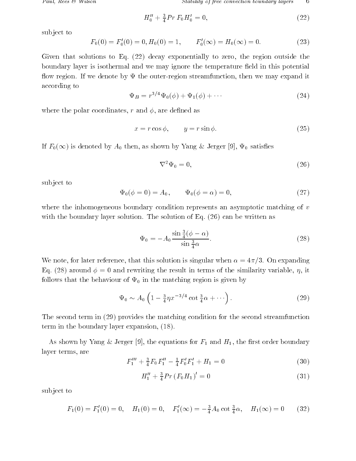$$
H_0'' + \frac{3}{4}Pr\ F_0 H_0' = 0,\tag{22}
$$

sub ject to

$$
F_0(0) = F'_0(0) = 0, H_0(0) = 1, \qquad F'_0(\infty) = H_0(\infty) = 0.
$$
 (23)

given that solutions to Eq. (Eq. Steel) to decay to all the regions the region outside the region of  $\mathcal{L}$ boundary layer is isothermal and we may ignore the temperature field in this potential ow region- If we denote by the outerregion streamfunction then we may expand it according to

$$
\Psi_B = r^{3/4} \Psi_0(\phi) + \Psi_1(\phi) + \cdots \tag{24}
$$

where the polar coordinates, r and  $\phi$ , are defined as

$$
x = r \cos \phi, \qquad y = r \sin \phi. \tag{25}
$$

is different by A then as shown by A then as shown by A then  $\cap$  as a theoretically associated by A then as shown by

$$
\nabla^2 \Psi_0 = 0,\tag{26}
$$

sub ject to

$$
\Psi_0(\phi = 0) = A_0, \qquad \Psi_0(\phi = \alpha) = 0, \tag{27}
$$

where the inhomogeneous boundary condition represents an asymptotic matching of  $v$ with the solution-  $\mu$  and solution-  $\mu$  is the solution- as  $\mu$  ,  $\mu$  ,  $\mu$  ,  $\mu$  ,  $\mu$  ,  $\mu$  ,  $\mu$ 

$$
\Psi_0 = -A_0 \frac{\sin \frac{3}{4}(\phi - \alpha)}{\sin \frac{3}{4}\alpha}.
$$
\n(28)

We note for later reference that this solution is singular when is singular when  $\mathcal{N}$  $\mathbb{R}$  . The rewriting the rewriting the rewriting the similar similar similar similar similar similar similar similar similar similar similar similar similar similar similar similar similar similar similar similar simi follows that the behaviour of  $\Psi_0$  in the matching region is given by

$$
\Psi_0 \sim A_0 \left( 1 - \frac{3}{4} \eta x^{-3/4} \cot \frac{3}{4} \alpha + \cdots \right). \tag{29}
$$

The second term in  $(29)$  provides the matching condition for the second streamfunction  $term$  in the boundary layer expansion,  $(18)$ .

 $\mathcal{S}$  the equations for F-H  $\mathcal{S}$  and H-H  $\mathcal{S}$  and H-H  $\mathcal{S}$  and H-H  $\mathcal{S}$  and H-H  $\mathcal{S}$  and H-H  $\mathcal{S}$  and H-H  $\mathcal{S}$  and H-H  $\mathcal{S}$  and H-H  $\mathcal{S}$  and H-H  $\mathcal{S}$  and H-H  $\mathcal{S}$  and H-H  $\math$ layer terms, are

$$
F_1''' + \frac{3}{4}F_0 F_1'' - \frac{1}{4}F_0' F_1' + H_1 = 0
$$
\n(30)

$$
H_1'' + \frac{3}{4} Pr (F_0 H_1)' = 0 \tag{31}
$$

sub ject to

$$
F_1(0) = F'_1(0) = 0
$$
,  $H_1(0) = 0$ ,  $F'_1(\infty) = -\frac{3}{4}A_0 \cot \frac{3}{4}\alpha$ ,  $H_1(\infty) = 0$  (32)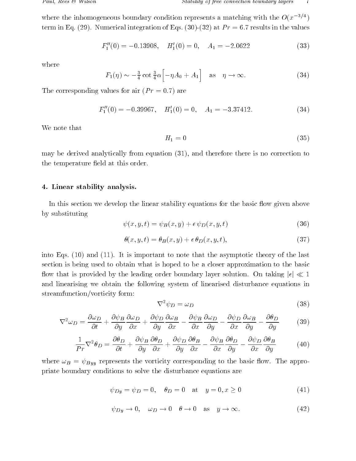where the inhomogeneous boundary condition represents a matching with the  $O(x^{-(\gamma+\gamma)})$ term in Eq. ( ), it contributes integration of  $\equiv$  queries in the values in the values in the values

$$
F_1''(0) = -0.13908, \quad H_1'(0) = 0, \quad A_1 = -2.0622 \tag{33}
$$

where

$$
F_1(\eta) \sim -\frac{3}{4} \cot \frac{3}{4} \alpha \left[ -\eta A_0 + A_1 \right]
$$
 as  $\eta \to \infty$ . (34)

The corresponding values for air  $(Pr = 0.7)$  are

$$
F_1''(0) = -0.39967, \quad H_1'(0) = 0, \quad A_1 = -3.37412. \tag{34}
$$

We note that

$$
H_1 = 0 \tag{35}
$$

may be derived analytically from equation  $(31)$ , and therefore there is no correction to the temperature field at this order.

### - Linear stability analysis-

In this section we develop the linear stability equations for the basic flow given above by substituting

$$
\psi(x, y, t) = \psi_B(x, y) + \epsilon \psi_D(x, y, t) \tag{36}
$$

$$
\theta(x, y, t) = \theta_B(x, y) + \epsilon \theta_D(x, y, t), \qquad (37)
$$

into Eqs-into Eqs-into Eqs-into the and the asymptotic that the asymptotic theory of the asymptotic theory of section is being used to obtain what is hoped to be a closer approximation to the basic now that is provided by the leading order boundary layer solution. On tailing jt  $\sqrt{ }$ and linearising we obtain the following system of linearised disturbance equations in streamfunction/vorticity form:

$$
\nabla^2 \psi_D = \omega_D \tag{38}
$$

$$
\nabla^2 \omega_D = \frac{\partial \omega_D}{\partial t} + \frac{\partial \psi_B}{\partial y} \frac{\partial \omega_D}{\partial x} + \frac{\partial \psi_D}{\partial y} \frac{\partial \omega_B}{\partial x} - \frac{\partial \psi_B}{\partial x} \frac{\partial \omega_D}{\partial y} - \frac{\partial \psi_D}{\partial x} \frac{\partial \omega_B}{\partial y} - \frac{\partial \theta_D}{\partial y}
$$
(39)

$$
\frac{1}{Pr}\nabla^2\theta_D = \frac{\partial\theta_D}{\partial t} + \frac{\partial\psi_B}{\partial y}\frac{\partial\theta_D}{\partial x} + \frac{\partial\psi_D}{\partial y}\frac{\partial\theta_B}{\partial x} - \frac{\partial\psi_B}{\partial x}\frac{\partial\theta_D}{\partial y} - \frac{\partial\psi_D}{\partial x}\frac{\partial\theta_B}{\partial y}
$$
(40)

 $D = \{D\}$  represents the vorticity corresponding to the basic over  $D = \{D\}$ priate boundary conditions to solve the disturbance equations are

$$
\psi_{Dy} = \psi_D = 0, \quad \theta_D = 0 \quad \text{at} \quad y = 0, x \ge 0
$$
\n(41)

$$
\psi_{Dy} \to 0, \quad \omega_D \to 0 \quad \theta \to 0 \quad \text{as} \quad y \to \infty. \tag{42}
$$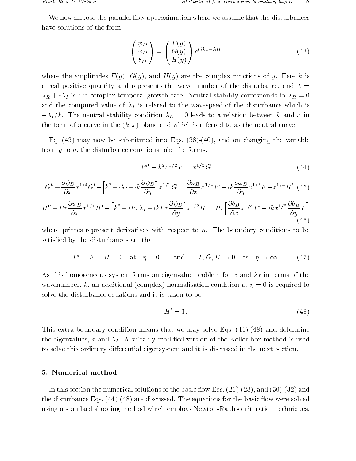We now impose the parallel flow approximation where we assume that the disturbances have solutions of the form.

$$
\begin{pmatrix} \psi_D \\ \omega_D \\ \theta_D \end{pmatrix} = \begin{pmatrix} F(y) \\ G(y) \\ H(y) \end{pmatrix} e^{(ikx + \lambda t)} \tag{43}
$$

where the amplitudes  $\mathcal{L}_{\mathcal{A}}$  and  $\mathcal{L}_{\mathcal{A}}$  are the complex functions of y- Here  $\mathcal{A}$  . Here  $\mathcal{A}$ a real positive quantity and represents the wave number of the disturbance, and  $\lambda =$ r i is the complex temporal growth rates to complex the corresponds to the corresponding to  $\mathcal{U}$ and the computed value of  $\lambda_I$  is related to the wavespeed of the disturbance which is I keep the neutral stability condition  $\mathcal{U}_k$  . We consider the stabilities we consider the stability condition the form of a curve in the curve in the second theory which is referred to as the neutral curve-

 $\mathcal{L}_{\mathcal{A}}$  , and the substitute into Eqs. ( ), and the variable  $\mathcal{A}_{\mathcal{A}}$  is the variable variable variable from y to  $\eta$ , the disturbance equations take the forms,

$$
F'' - k^2 x^{1/2} F = x^{1/2} G \tag{44}
$$

$$
G'' + \frac{\partial \psi_B}{\partial x} x^{1/4} G' - \left[ k^2 + i\lambda_I + ik \frac{\partial \psi_B}{\partial y} \right] x^{1/2} G = \frac{\partial \omega_B}{\partial x} x^{1/4} F' - ik \frac{\partial \omega_B}{\partial y} x^{1/2} F - x^{1/4} H' \tag{45}
$$

$$
H'' + Pr \frac{\partial \psi_B}{\partial x} x^{1/4} H' - \left[ k^2 + i Pr \lambda_I + i k Pr \frac{\partial \psi_B}{\partial y} \right] x^{1/2} H = Pr \left[ \frac{\partial \theta_B}{\partial x} x^{1/4} F' - i k x^{1/2} \frac{\partial \theta_B}{\partial y} F \right] \tag{46}
$$

where primes represent differential version respect to  $\eta$  . Boundary conditions to be a satisfied by the disturbances are that

$$
F' = F = H = 0 \quad \text{at} \quad \eta = 0 \quad \text{and} \quad F, G, H \to 0 \quad \text{as} \quad \eta \to \infty. \tag{47}
$$

As this homogeneous system forms an eigenvalue problem for x and  $\lambda_I$  in terms of the wavenumber, k, an additional (complex) normalisation condition at  $\eta = 0$  is required to solve the disturbance equations and it is taken to be

$$
H' = 1.\t\t(48)
$$

This extra boundary condition means that we may solve Eqs-  and determine the eigenvalues  $\mathcal{A}$  and  $\mathcal{A}$  -formulation of the Kellerbox method is used is used is used is used is used is used is used in the Kellerbox method is used in the Kellerbox method is used in the Kellerbox method is to solve this ordinary differential eigensystem and it is discussed in the next section.

. In this section the numerical solution that the basic own experiment  $\mathbf{I}$  and  $\mathbf{I}$ the disturbance Eqs-  are discussed- The equations for the basic ow were solved using a standard shooting method which employs Newton-Raphson iteration techniques.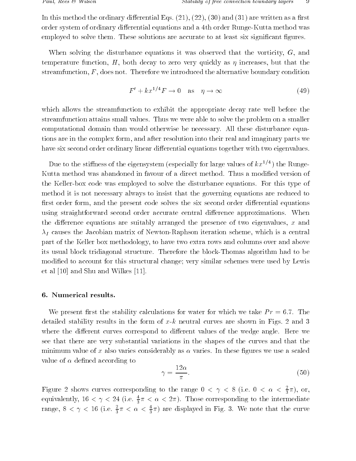In this method the ordinary dierential Eqs. and  $\mathbf{I}$  and  $\mathbf{I}$  and  $\mathbf{I}$  are written as a  $\mathbf{I}$ order system of ordinary differential equations and a 4th order Runge-Kutta method was employed to solve them-distributions are accurate to at least significant  $\mathcal{F}$ 

When solving the disturbance equations it was observed that the vorticity,  $G$ , and temperature function,  $H$ , both decay to zero very quickly as  $\eta$  increases, but that the streamfunction F does not alternative we introduced the alternative boundary conditions are alternative boundary

$$
F' + kx^{1/4}F \to 0 \quad \text{as} \quad \eta \to \infty \tag{49}
$$

which allows the streamfunction to exhibit the appropriate decay rate well before the streamfunction attains small values- Thus we were able to solve the problem on a smaller computational domain than would otherwise be necessary- All these disturbance equa tions are in the complex form, and after resolution into their real and imaginary parts we have six second order ordinary linear differential equations together with two eigenvalues.

Due to the stiffness of the eigensystem (especially for large values of  $\kappa x^{\gamma + \gamma}$  ) the Kungethe Form the Keller box complex to solve the disturbance equations- except the disturbance equationsmethod it is not necessary always to insist that the governing equations are reduced to first order form, and the present code solves the six second order differential equations using straightforward second order accurate central dierence approximations- When the difference equations are suitably arranged the presence of two eigenvalues,  $x$  and  $\lambda_I$  causes the Jacobian matrix of Newton-Raphson iteration scheme, which is a central part of the Keller box methodology to have two extra rows and columns over and above its usual block tridiagonal structure-block tridiagonal structure-blockthomas algorithm had to be been presented to be been presented in  $\mathcal{M}$ modified to account for this structural change; very similar schemes were used by Lewis et al et al media de la construction de la provincia de la construction de la construction de la construction d

We present most that the stability calculations for which we take We take P reserve the West P rate detailed stability results in the form of  $x$  neutral curves are shown in Figs- are shown in Figs-  $\alpha$  and  $\alpha$ where the dierent curves correspond to dierent values correspond to dierent values of the wedge anglesee that there are very substantial variations in the shapes of the curves and that the minimum value of  $\mathbf{M}$ value of  $\alpha$  defined according to

$$
\gamma = \frac{12\alpha}{\pi}.\tag{50}
$$

Figure 2 shows curves corresponding to the range  $0 < \gamma < 8$  (i.e.  $0 < \alpha < \frac{1}{3}\pi$ ), or, equivalently, 10  $< \gamma < 24$  (i.e.  $\frac{1}{3} \pi < \alpha < 2 \pi$ ). Those corresponding to the intermediate range,  $8 \leq \gamma \leq 10$  (i.e.  $\frac{1}{3}\pi \leq \alpha \leq \frac{1}{3}\pi$ ) are displayed in Fig. 3. We note that the curve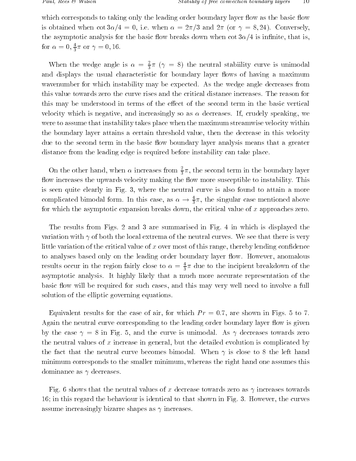which corresponds to taking only the leading order boundary layer flow as the basic flow is obtained when cot and a strain when the converse when when  $\mathcal{C}^{(n)}$  are and  $\mathcal{C}^{(n)}$  . The converse  $\mathcal{C}^{(n)}$ the asymptotic analysis for the basic flow breaks down when  $\cot 3\alpha/4$  is infinite, that is, for  $\alpha = 0, \frac{1}{3}\pi$  or  $\gamma = 0, 10$ .

When the wedge angle is  $\alpha = \frac{1}{3}\pi$  ( $\gamma = 8$ ) the neutral stability curve is unimodal and displays the usual characteristic for boundary layer flows of having a maximum wavenumber for which instability may be expected-that the weight decreases from the state of the west of the w this may be understood in terms of the effect of the second term in the basic vertical velocity which is negative and increasingly so as decreases- If crudely speaking we were to assume that instability takes place when the maximum streamwise velocity within the boundary layer attains a certain threshold value, then the decrease in this velocity due to the second term in the basic flow boundary layer analysis means that a greater distance from the leading edge is required before instability can take place-

On the other hand, when  $\alpha$  increases from  $\frac{1}{3}\pi$ , the second term in the boundary layer ow in constant the upwards velocity making the own more susceptible to instability- owners is seen quite clearly in Fig. .. . ...... curve is also found to answer to also found to answer. complicated bimodal form. In this case, as  $\alpha \rightarrow \frac{1}{3}\pi$ , the singular case mentioned above for which the asymptotic expansion breaks down, the critical value of x approaches zero.

The results from Figs-  $\mathcal{L}$  in  $\mathcal{L}$  are summarised the summarised in Fig. variation with of the local extrema of the neutral curves-the neutral curves-there is very seed the there is little variation of the critical value of x over most of this range, thereby lending confidence to analyses based on the leading only on the leading order boundary layer order boundary layer owever and  $\mathbf{H}$ results occur in the region fairly close to  $\alpha = \frac{1}{3}\pi$  due to the incipient breakdown of the asymptotic analysis- It highly likely that a much more accurate representation of the basic flow will be required for such cases, and this may very well need to involve a full solution of the elliptic governing equations.

Equivalent results for the case of air for which  $\mathbf{F}$  results for  $\mathbf{F}$  results for  $\mathbf{F}$ Again the neutral curve corresponding to the leading order boundary layer flow is given of the case is the case of the curve is understanded the curve is universal to the curve is united to the contr the neutral values of  $x$  increase in general, but the detailed evolution is complicated by the fact that the fact the substitute becomes biling the neutral political curve fact that the left handle minimum corresponds to the smaller minimum, whereas the right hand one assumes this dominance as  $\gamma$  decreases.

Fig. that the neutral values of  $\mathbf{A}$ in this regard the behaviour is identical to the behaviour is identical to that shown in Fig. assume increasingly bizarre shapes as  $\gamma$  increases.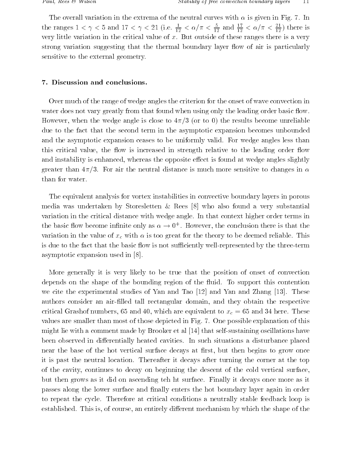The overall variation in the extrema of the extrema of the neutral curves with  $\mathcal{F}$ the ranges  $1 \leq \gamma \leq 5$  and  $1/\leq \gamma \leq 21$  (i.e.  $\frac{2}{10} \leq$  $\frac{1}{12} < \alpha/\pi < \frac{1}{12}$  ar  $\frac{1}{12}$  and  $\frac{1}{12}$  <  $\frac{1}{12} < \alpha/\pi < \frac{1}{12}$ ) t.  $12$  , there is the isomorphism very little variation in the critical value of x- But outside of these ranges there is a very strong variation suggesting that the thermal boundary layer flow of air is particularly sensitive to the external geometry-

Over much of the range of wedge angles the criterion for the onset of wave convection in water does not vary greatly from that found when using only the leading order basic flow. However, when the wedge angle is close to  $4\pi/3$  (or to 0) the results become unreliable due to the fact that the second term in the asymptotic expansion becomes unbounded and the asymptotic expansion ceases to be uniformly valid- For wedge angles less than this critical value, the flow is increased in strength relative to the leading order flow and instability is enhanced, whereas the opposite effect is found at wedge angles slightly  $\mathbf{f}$ than for water.

The equivalent analysis for vortex instabilities in convective boundary layers in porous media was undertaken by Storesletten 
Rees who also found a very substantial variation in the critical distance with wedge angle- that context in the context order terms in the basic now become infinite only as  $\alpha \rightarrow 0^+$  . However, the conclusion there is that the variation in the value of xc with the theory great for the theory to be deemed reliableis due to the fact that the basic flow is not sufficiently well-represented by the three-term asymptotic expansion of the contract of the contract of the contract of the contract of the contract of the co

More generally it is very likely to be true that the position of onset of convection depends on the shape of the bounding region of the uid- To support this contention we cite the experimental studies of Yan and Tao and Yan and Zhang - These authors consider an air-filled tall rectangular domain, and they obtain the respective critical Grashof numbers and which are equivalent to a procedure to  $\alpha$  , we which are not a model of values are smaller than most of those depicted in Fig- - One possible explanation of this might lie with a comment made by Brooker et al paper et al selfs with the selfs of the selfs of the selfs been observed in dierentially heated cavities- In such situations a disturbance placed near the base of the hot vertical surface decays at first, but then begins to grow once it is past the neutral location- the neutral location- it decays after the corner at the corporation  $\mathcal{L}_\mathbf{p}$ of the cavity continues to decay on beginning the descent of the cold vertical surface  $\mathbf{f}_{\mathbf{A}}$  , as it did on ascending teh ht surface-dimensionally it decays on as it decays on as it decays on passes along the lower surface and nally enters the hot boundary layer again in order to repeat the cycle- Therefore at critical conditions a neutrally stable feedback loop is established- This is of course an entirely dierent mechanism by which the shape of the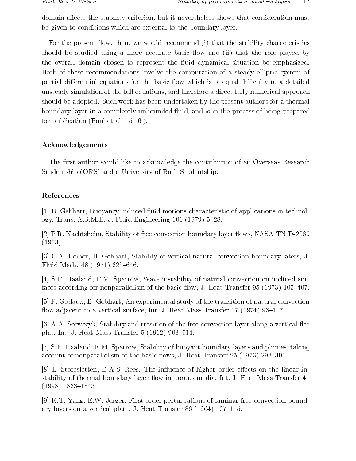domain affects the stability criterion, but it nevertheless shows that consideration must be given to conditions which are external to the boundary layer.

For the present flow, then, we would recommend  $(i)$  that the stability characteristics should be studied using a more accurate basic flow and (ii) that the role played by the overall domain chosen to represent the fluid dynamical situation be emphasized. Both of these recommendations involve the computation of a steady elliptic system of partial differential equations for the basic flow which is of equal difficulty to a detailed unsteady simulation of the full equations and therefore a direct fully numerical approach should be adopted- Such work has been undertaken by the present authors for a thermal boundary layer in a completely unbounded fluid, and is in the process of being prepared for publication Paul et al --

# Acknowledgements

The first author would like to acknowledge the contribution of an Overseas Research Studentship (ORS) and a University of Bath Studentship.

# References

 B- Gebhart Buoyancy induced uid motions characteristic of applications in technol  $\mathcal{L}$ 

 P-R- Nachtsheim Stability of free convection boundary layer ows NASA TN D  $(1963).$ 

 C-A- Heiber B- Gebhart Stability of vertical natural convection boundary laters J-Fluid Mech-  -

 S-E- Haaland E-M- Sparrow Wave instability of natural convection on inclined sur faces according for nonparallelism of the basic ow J- Heat Transfer  -

 F- Godaux B- Gebhart An experimental study of the transition of natural convection ow adjacent to a vertical surface in the case of the surface  $\sim$  1 and 1 and 1 and 1 and 1 and 1 and 1 and 1

, also state and transition of the free of the free of the free of the free convection  $\mathcal{A}$  at a vertical at  $\mathcal{A}$  $\blacksquare$  . The first interval is the first interval interval interval in the first interval interval interval in the first interval interval interval interval in the first interval interval interval in the first interval in

 S-E- Haaland E-M- Sparrow Stability of buoyant boundary layers and plumes taking account to nonparallelism of the basic ows J-1 the basic ows J-1 the parallelism  $\mathcal{L} = \{ \mathcal{L} \mid \mathcal{L} \in \mathcal{L} \}$ 

 L- Storesletten D-A-S- Rees The inuence of higher order eects on the linear in stability of thermal boundary layer next media Int-Antonio Internet and the state of the state of the state of  $(1998)$  1833-1843.

 K-T- Yang E-W- Jerger Firstorder perturbations of laminar freeconvection bound ary layers on a vertical plate J-mail plate J-mail plate J-mail plate J-mail plate J-mail plate J-mail plate J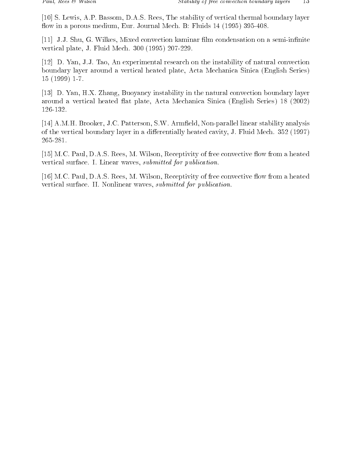S- Lewis A-P- Bassom D-A-S- Rees The stability of vertical thermal boundary layer ow in a porous medium Eure-Unit  $\mathbf{J}$  and  $\mathbf{J}$  are porous medium Eure-Unit  $\mathbf{J}$  and  $\mathbf{J}$ 

 J-J- Shu G- Wilkes Mixed convection kaminar lm condensation on a semiin nite vertical plate J-mail plate J-mail plate J-mail plate J-mail plate J-mail plate J-mail plate J-mail plate J-ma

 D- Yan J-J- Tao An experimental research on the instability of natural convection boundary layer around a vertical heated plate, Acta Mechanica Sinica (English Series)  $15(1999)$  1-7.

 D- Yan H-X- Zhang Buoyancy instability in the natural convection boundary layer around a vertical heated flat plate, Acta Mechanica Sinica (English Series) 18 (2002) 126-132.

, arms armored are armored and are matters and arms are the pattern stations and arms are all interesting and of the vertical boundary layer in a distribution, heated cavity J-Fluid Mech-19 (1999) J-265-281.

, and are the convectivity of the convectivity of free convective or free convective or free constants of the vertical surface- **I-M-Linear** waves submitted for publication-

 M-C- Paul D-A-S- Rees M- Wilson Receptivity of free convective ow from a heated vertical surface. II: Treffition: waves submitted for publication-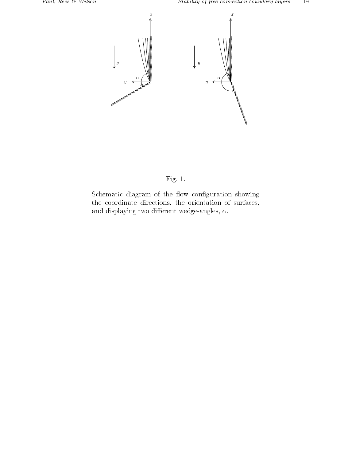



Schematic diagram of the flow configuration showing the coordinate directions, the orientation of surfaces, and displaying two different wedge-angles,  $\alpha$ .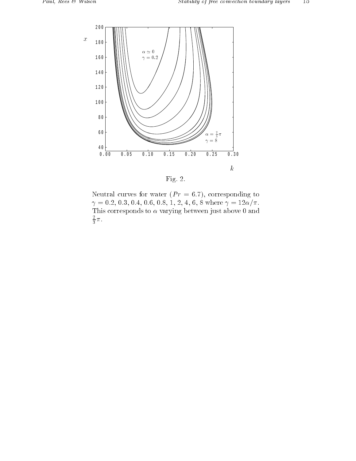

----

Neutral curves for water  $(Pr = 6.7)$ , corresponding to - - - - - where -This corresponds to  $\alpha$  varying between just above 0 and  $\frac{\pi}{3} \pi$ .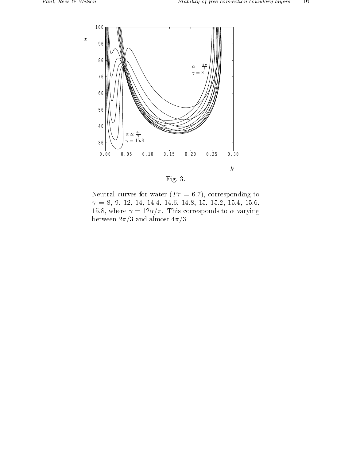

Fig- -

Neutral curves for water  $(Pr = 6.7)$ , corresponding to - - - - - - - where it is the corresponding to the corresponding to the corresponding to the corresponding to the corresponding to the corresponding to the corresponding to the corresponding to the corresponding to the corresponding t between  $2\pi/3$  and almost  $4\pi/3$ .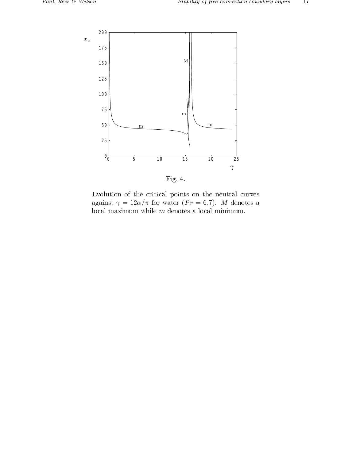

----

Evolution of the critical points on the neutral curves and the second contract of the contract of the contract of the contract of the contract of the contract of the local maximum while  $m$  denotes a local minimum.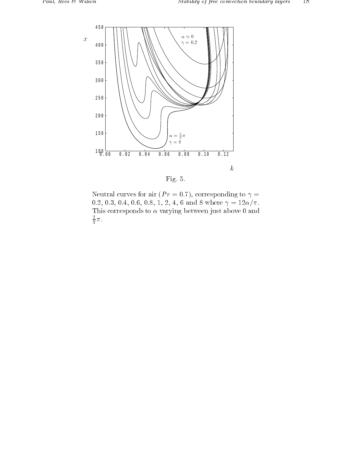

----

Neutral curves for air ( $Pr = 0.7$ ), corresponding to  $\gamma =$ - - - - - and where -This corresponds to  $\alpha$  varying between just above 0 and  $\frac{\pi}{3} \pi$ .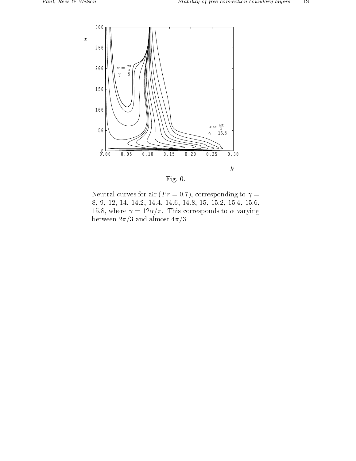

----

Neutral curves for air ( $Pr = 0.7$ ), corresponding to  $\gamma =$  - - - - - - - - where it is the corresponding to the corresponding to the corresponding to the corresponding to the corresponding to the corresponding to the corresponding to the corresponding to the corresponding to the corresponding t between  $2\pi/3$  and almost  $4\pi/3$ .